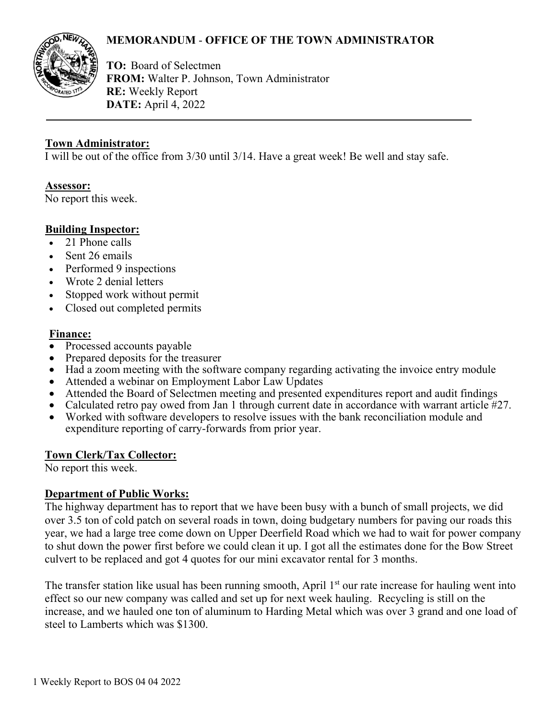# **MEMORANDUM** - **OFFICE OF THE TOWN ADMINISTRATOR**



**TO:** Board of Selectmen **FROM:** Walter P. Johnson, Town Administrator **RE:** Weekly Report **DATE:** April 4, 2022

#### **Town Administrator:**

I will be out of the office from 3/30 until 3/14. Have a great week! Be well and stay safe.

#### **Assessor:**

No report this week.

# **Building Inspector:**

- 21 Phone calls
- Sent 26 emails
- Performed 9 inspections
- Wrote 2 denial letters
- Stopped work without permit
- Closed out completed permits

#### **Finance:**

- Processed accounts payable
- Prepared deposits for the treasurer
- Had a zoom meeting with the software company regarding activating the invoice entry module
- Attended a webinar on Employment Labor Law Updates
- Attended the Board of Selectmen meeting and presented expenditures report and audit findings
- Calculated retro pay owed from Jan 1 through current date in accordance with warrant article #27.
- Worked with software developers to resolve issues with the bank reconciliation module and expenditure reporting of carry-forwards from prior year.

# **Town Clerk/Tax Collector:**

No report this week.

# **Department of Public Works:**

The highway department has to report that we have been busy with a bunch of small projects, we did over 3.5 ton of cold patch on several roads in town, doing budgetary numbers for paving our roads this year, we had a large tree come down on Upper Deerfield Road which we had to wait for power company to shut down the power first before we could clean it up. I got all the estimates done for the Bow Street culvert to be replaced and got 4 quotes for our mini excavator rental for 3 months.

The transfer station like usual has been running smooth, April 1<sup>st</sup> our rate increase for hauling went into effect so our new company was called and set up for next week hauling. Recycling is still on the increase, and we hauled one ton of aluminum to Harding Metal which was over 3 grand and one load of steel to Lamberts which was \$1300.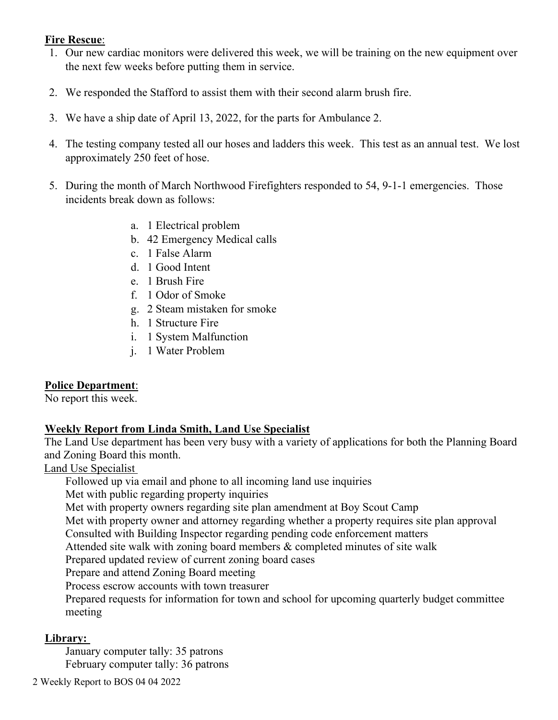# **Fire Rescue**:

- 1. Our new cardiac monitors were delivered this week, we will be training on the new equipment over the next few weeks before putting them in service.
- 2. We responded the Stafford to assist them with their second alarm brush fire.
- 3. We have a ship date of April 13, 2022, for the parts for Ambulance 2.
- 4. The testing company tested all our hoses and ladders this week. This test as an annual test. We lost approximately 250 feet of hose.
- 5. During the month of March Northwood Firefighters responded to 54, 9-1-1 emergencies. Those incidents break down as follows:
	- a. 1 Electrical problem
	- b. 42 Emergency Medical calls
	- c. 1 False Alarm
	- d. 1 Good Intent
	- e. 1 Brush Fire
	- f. 1 Odor of Smoke
	- g. 2 Steam mistaken for smoke
	- h. 1 Structure Fire
	- i. 1 System Malfunction
	- j. 1 Water Problem

# **Police Department**:

No report this week.

#### **Weekly Report from Linda Smith, Land Use Specialist**

The Land Use department has been very busy with a variety of applications for both the Planning Board and Zoning Board this month.

#### Land Use Specialist

Followed up via email and phone to all incoming land use inquiries

Met with public regarding property inquiries

Met with property owners regarding site plan amendment at Boy Scout Camp

Met with property owner and attorney regarding whether a property requires site plan approval

Consulted with Building Inspector regarding pending code enforcement matters

Attended site walk with zoning board members & completed minutes of site walk

Prepared updated review of current zoning board cases

Prepare and attend Zoning Board meeting

Process escrow accounts with town treasurer

Prepared requests for information for town and school for upcoming quarterly budget committee meeting

# **Library:**

January computer tally: 35 patrons February computer tally: 36 patrons

2 Weekly Report to BOS 04 04 2022